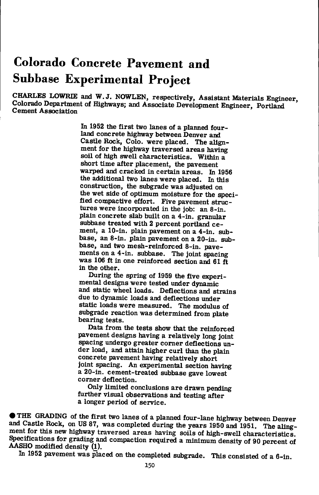# **Colorado Concrete Pavement and Subbase Experimental Project**

CHARLES LOWRIE and W. J. NOWLEN, respectively. Assistant Materials Engineer, Colorado Department of Highways; and Associate Development Engineer, Portiand Cement Association

> In 1952 the first two lanes of a planned fourland concrete highway between Denver and Castie Rock, Colo, were placed. The alignment for the highway traversed areas having soil of high swell characteristics. Within a short time after placement, the pavement warped and cracked in certain areas. In 1956 the additional two lanes were placed. In this construction, the subgrade was adjusted on the wet side of optimum moisture for the specified compactive effort. Five pavement structures were incorporated in the job: an 8-in. plain concrete slab built on a 4-in. granular subbase treated with 2 percent portiand cement, a 10-in. plain pavement on a 4-in. subbase, an 8-in. plain pavement on a 20-in. subbase, and two mesh-reinforced 8-in. pavements on a 4-in. subbase. The joint spacing was 106 ft in one reinforced section and 61 ft in the other.

During the spring of 1959 the five experimental designs were tested under dynamic and static wheel loads. Deflections and strains due to dynamic loads and deflections under static loads were measured. The modulus of subgrade reaction was determined from plate bearing tests.

Data from the tests show that the reinforced pavement designs having a relatively long joint spacing undergo greater comer deflections under load, and attain higher curl than the plain concrete pavement having relatively short joint spacing. An experimental section having a 20-in. cement-treated subbase gave lowest comer deflection.

Only limited conclusions are drawn pending further visual observations and testing after a longer period of service.

• THE GRADING of the first two lanes of a planned four-lane highway between Denver and Castie Rock, on US 87, was completed during the years 1950 and 1951. The alingment for this new highway traversed areas having soils of high-swell characteristics. Specifications for grading and compaction required a minimum density of 90 percent of AASHO modified density (1).

In 1952 pavement was placed on the completed subgrade. This consisted of a 6-in.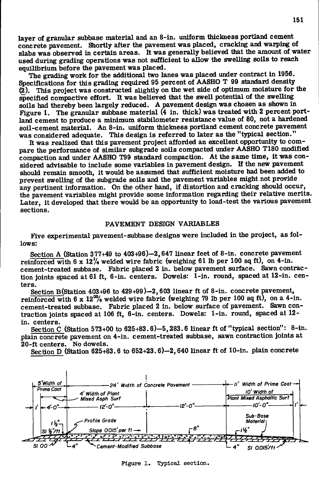layer of granular subbase material and an 8-in. uniform thickness portland cement concrete pavement. Shortly after the pavement was placed, cracking and warping of used during grading operations was not sufficient to allow the swelling soils to reach equilibrium before the pavement was placed.

The grading work for the additional two lanes was placed under contract in 1956. Specifications for this grading required 95 percent of AASHO T 99 standard density  $(2)$ . This project was constructed slightly on the wet side of optimum moisture for the  $S$ pecified compactive effort. It was believed that the swell potential of the swelling soils had thereby been largely reduced. A pavement design was chosen as shown in Figure 1. The granular subbase material (4 in. thick) was treated with 2 percent portland cement to produce a minimum stabilometer resistance value of 80, not a hardened soil-cement material. An 8-in. uniform thickness portland cement concrete pavement was considered adequate. This design is referred to later as the "typical section."

It was realized that this pavement project afforded an excellent opportunity to compare the performance of similar subgrade soils compacted under AASHO T180 modified compaction and under AASHO T99 standard compaction. At the same time, it was considered advisable to include some variables in pavement design. If the new pavement should remain smooth, it would be assumed that sufficient moisture had been added to prevent swelling of the subgrade soils and the pavement variables might not provide any pertinent information. On the other hand, if distortion and cracking should occur, the pavement variables might provide some information regarding their relative merits. the pavement variables might provide some information regarding the various pavement. Later, it developed that there we have an opportunity to load-test the various particles. sections.

## PAVEMENT DESIGN VARIABLES

Five experimental pavement-subbase designs were included in the project, as follows:

Section A (Station 377+49 to 403+96)-2, 647 linear feet of 8-in. concrete pavement reinforced with  $6 \times 12^{\frac{1}{4}}$  welded wire fabric (weighing 61 lb per 100 sq ft), on 4-in. cement-treated subbase. Fabric placed 2 in. below pavement surface. Sawn contraction joints spaced at 61 ft, 6-in. centers. Dowels: 1-in. round, spaced at 12-in. centers.

Section B(Station 403+96 to 429+99)—2,603 linear ft of 8-in. concrete pavement, reinforced with  $6 \times 12\%$  welded wire fabric (weighing 79 lb per 100 sq ft), on a 4-in. cement-treated subbase. Fabric placed 2 in. below surface of pavement. Sawn contraction joints spaced at 106 ft, 6-in. centers. Dowels: 1-in. round, spaced at 12 in. centers.

Section C (Station 573+00 to 625+83.6)-5,283.6 linear ft of "typical section": 8-in. plain concrete pavement on 4-in. cement-treated subbase, sawn contraction joints at 20-ft centers. No dowels. 20-ft centers.

Section D (Station 625+83.6 to 652+23.6)-2,640 linear ft of 10-in. plain concrete



**Figure 1. Typical section.**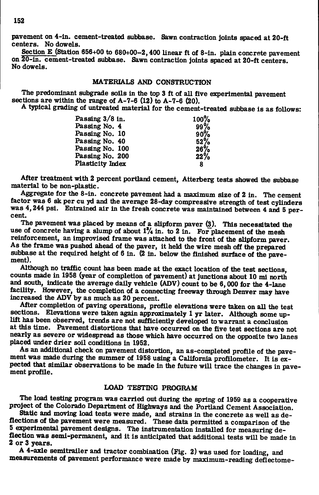pavement on 4-in. cement-treated subbase. Sawn contraction joints spaced at 20-ft Centers. No dowels.<br>Section F (Station 6

Section E (Station 656+00 to 680+00-2, 400 linear ft of 8-in. plain concrete pavement<br>20 in comput tracted withose Serm asstrative is ideas and in 20 ft. on 20-in. cement-treated subbase. Sawn contraction joints spaced at 20-ft centers. No dowels.

## MATERIALS AND CONSTRUCTION

The predominant subgrade soils in the top 3 ft of all five experimental pavement sections are within the range of A-7-6 (12) to A-7-6 (20).

A typical grading of untreated material for the cement-treated subbase is as follows:

| Passing $3/8$ in. | 100% |
|-------------------|------|
| Passing No. 4     | 99%  |
| Passing No. 10    | 90%  |
| Passing No. 40    | 52%  |
| Passing No. 100   | 26%  |
| Passing No. 200   | 22%  |
| Plasticity Index  | 8    |

After treatment with 2 percent portiand cement, Atterberg tests showed the subbase material to be non-plastic.

Aggregate for the 8-in. concrete pavement had a maximum size of 2 in. The cement factor was 6 sk per cu yd and the average 28-day compressive strength of test cylinders was 4,244 psi. Entrained air in the fresh concrete was maintained between 4 and 5 percent.

The pavement was placed by means of a slipform paver (3). This necessitated the use of concrete having a slump of about *1%* in. to 2 in. For placement of the mesh reinforcement, an improvised frame was attached to the front of the slipform paver. As the frame was pushed ahead of the paver, it held the wire mesh off the prepared subbase at the required height of 6 in. (2 in. below the finished surface of the pavement).

Although no traffic count has been made at the exact location of the test sections, counts made in 1958 (year of completion of pavement) at junctions about 10 mi north and south, indicate the average daily vehicle (ADV) count to be 6,000 for the 4-lane facility. However, the completion of a connecting freeway through Denver may have increased the ADV by as much as 20 percent.

After completion of paving operations, profile elevations were taken on all the test sections. Elevations were taken again approximately 1 yr later. Although some uplift has been observed, trends are not sufficientiy developed to warrant a conclusion at this time. Pavement distortions that have occurred on the five test sections are not nearly as severe or widespread as those which have occurred on the opposite two lanes placed under drier soil conditions in 1952.

As an additional check on pavement distortion, an as-completed profile of the pavement was made during the summer of 1958 using a California profilometer. It is expected that similar observations to be made in the future will trace the changes in pavement profile.

## LOAD TESTING PROGRAM

The load testing program was carried out during the spring of 1959 as a cooperative project of the Colorado Department of Highways and the Portland Cement Association.

Static and moving load tests were made, and strains in the concrete as well as deflections of the pavement were measured. These data permitted a comparison of the 5 experimental pavement designs. The instrumentation installed for measuring deflection was semi-permanent, and it is anticipated that additional tests will be made in 2 or 3 years.

A 4-axle semitrailer and tractor combination (Fig. 2) was used for loading, and measurements of pavement performance were made by maximum-reading deflectome-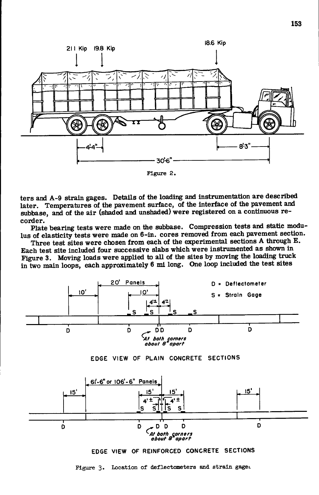

**Figure 2 .** 

ters and A-9 strain gages. Details of the loading and instrumentation are described later. Temperatures of the pavement surface, of the interface of the pavement and subbase, and of the air (shaded and unshaded) were registered on a continuous recorder.

Plate bearing tests were made on the subbase. Compression tests and static modulus of elasticity tests were made on 6-in. cores removed from each pavement section.

Three test sites were chosen from each of the experimental sections A through E. Each test site included four successive slabs which were instrumented as shown in Figure 3. Moving loads were applied to aU of the sites by moving the loading truck in two main loops, each approximately  $6$  mi long. One loop included the test sites

![](_page_3_Figure_5.jpeg)

**EDG E VIEW OF PLAIN CONCRET E SECTION S** 

![](_page_3_Figure_7.jpeg)

**EDGE VIEW OF REINFORCED CONCRETE SECTIONS** 

**Figure 3.** Location of deflectometers and strain gaget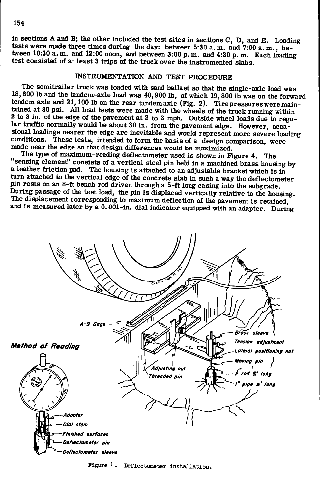in sections A and B; the other included the test sites in sections C, D, and E. Loading tests were made three times during the day: between 5:30 a. m. and 7:00 a. m., between  $10:30$  a.m. and  $12:00$  noon, and between  $3:00$  p.m. and  $4:30$  p.m. Each loading test consisted of at least 3 trips of the truck over the instrumented slabs.

# INSTRUMENTATION AND TEST PROCEDURE

The semitrailer truck was loaded with sand ballast so that the single-axle load was 18,600 lb and the tandem-axle load was 40,900 lb, of which 19,800 lb was on the forward tendem axle and 21,100 lb on the rear tandemaxle (Fig. 2). Tire pressures were maintained at 80 psi. All load tests were made with the wheels of the truck running within 2 to 3 in. of the edge of the pavement at 2 to 3 mph. Outside wheel loads due to regular traffic normally would be about 30 in. from the pavement edge. However, occasional loadings nearer the edge are inevitable and would represent more severe loading conditions. These tests, intended to form the basis of a design comparison, were made near the edge so that design differences would be maximized.

The type of maximum-reading deflectometer used is shown in Figure 4. The "sensing element" consists of a vertical steel pin held in a machined brass housing by a leather friction pad. The housing is attached to an adjustable bracket which is in turn attached to the vertical edge of the concrete slab in such a way the deflectometer pin rests on an 8-ft bench rod driven through a 5-ft long casing into the subgrade. During passage of the test load, the pin is displaced vertically relative to the housing. The displacement corresponding to maximum deflection of the pavement is retained, and is measured later by a 0.001-in. dial indicator equipped with an adapter. During

![](_page_4_Figure_4.jpeg)

Figure 4. Deflectometer installation.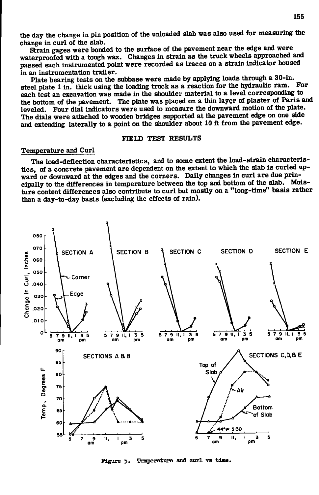the day the change in pin position of the unloaded slab was also used for measuring the change in curl of the slab.

Strain gages were bonded to the surface of the pavement near the edge and were waterproofed with a tough wax. Changes in strain as the truck wheels approached and passed each instrumented point were recorded as traces on a strain indicator housed

in an instrumentation trailer.<br>Plate bearing tests on the subbase were made by applying loads through a 30-in. steel plate 1 in. thick using the loading truck as a reaction for the hydraulic ram. For each test an excavation was made in the shoulder material to a level corresponding to each test an excavation was made in the shoulder material to a level corresponding to each test of Paris a the bottom of the pavement. The plate was placed on a thin layer of plaster of Paris and<br>Lural also France dial indicatege was used to measure the downward motion of the plate. leveled. Four dial indicators were used to measure the downward motion of the plate. The dials were attached to wooden bridges supported at the pavement edge on one side and extending laterally to a point on the shoulder about 10 ft from the pavement edge.

## FIELD TEST RESULTS

#### Temperature and Curl

The load-deflection characteristics, and to some extent the load-strain characteristics, of a concrete pavement are dependent on the extent to which the slab is curled upward or downward at the edges and the comers. Daily changes in curl are due prin eipally to the differences in temperature between the top and bottom of the slab. Moisture content differences also contribute to curl but mostiy on a "long-time" basis rather than a day-to-day basis (excluding the effects of rain).

![](_page_5_Figure_6.jpeg)

**Figure** 5. Temperature and curl vs time.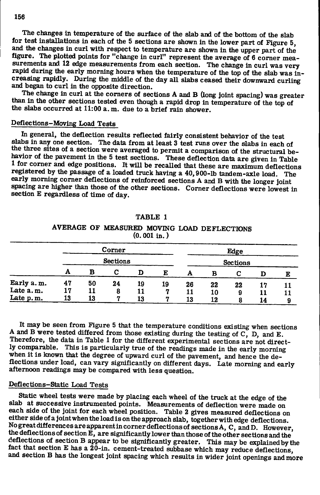The changes in temperature of the surface of the slab and of the bottom of the slab for test installations in each of the 5 sections are shown in the lower part of Figure 5, figure. The plotted points for "change in curl" represent the average of 6 corner measurements and 12 edge measurements from each section. The change in curl was very rapid during the early morning hours when the temperature of the top of the slab was increasing rapidly. During the middle of the day all slabs ceased their downward curling and began to curl in the opposite direction. and began to curl in the opposite direction.<br>The shapes in surl statistics can all slabs ceased the downward curling of the downward curling of the statistics

I he change in curl at the corners of sect<br>than in the other sections tested over though than in the other sections tested even though a rapid drop in temperature of the top of the slabs occurred at 11:00 a.m. due to a brief rain shower.

# the slabs of the slabs of the slabs of the shower. The flag is the shower rain shower. The shower rain shower. Deflections-Moving Load Tests

In general, the deflection results reflected fairly consistent behavior of the test slabs in any one section. The data from at least 3 test runs over the slabs in each of the three sites of a section were averaged to permit a comparison of the structural behavior of the pavement in the 5 test sections. These deflection data are given in Table 1 for comer and edge positions. It will be recalled that these are maximum deflections registered by the passage of a loaded truck having a 40,900-lb tandem-axle load. The early morning comer deflections of reinforced sections A and B with the longer joint spacing are higher than those of the other sections. Corner deflections were lowest in section E regardless of time of day.

|            | $(0.001$ in.) |    |                 |    |                 |    |    |    |    |    |  |  |  |  |
|------------|---------------|----|-----------------|----|-----------------|----|----|----|----|----|--|--|--|--|
|            |               |    | Corner          |    |                 |    |    |    |    |    |  |  |  |  |
|            |               |    | <b>Sections</b> |    | <b>Sections</b> |    |    |    |    |    |  |  |  |  |
|            | A             | в  | С               | D  | E               | А  | в  | C  | D  | E  |  |  |  |  |
| Early a.m. | 47            | 50 | 24              | 19 | 19              | 26 | 22 | 22 | 17 | 11 |  |  |  |  |
| Late a.m.  | 17            | 11 | 8               | 11 |                 | 11 | 10 | 9  | 11 | 11 |  |  |  |  |
| Late p.m.  | 13            | 13 | 7               | 13 | 7               | 13 | 12 | 8  | 14 | 9  |  |  |  |  |

TABLE 1 AVERAGE OF MEASURED MOVING LOAD DEFLECTIONS

It may be seen from Figure 5 that the temperature conditions existing when sections A and B were tested differed from those existing during the testing of C, D, and E. Therefore, the data in Table 1 for the different experimental sections are not directly comparable. This is particularly true of the readings made in the early morning when it is known that the degree of upward curl of the pavement, and hence the deflections under load, can vary significantly on different days. Late morning and early afternoon readings may be compared with less question.

## Deflections-Static Load Tests

Static wheel tests were made by placing each wheel of the truck at the edge of the slab at successive instrumented points. Measurements of deflection were made on each side of the joint for each wheel position. Table 2 gives measured deflections on either side of a joint when the load is on the approach slab, together with edge deflections. No great differences are apparent in comer deflections of sections A, C, andD. However, the deflections of section  $\mathbf{E}_i$ , are significantly lower than those of the other sections and the deflections of section B appear to be significantiy greater. This may be explained by the fact that section E has a  $2\bar{0}$ -in. cement-treated subbase which may reduce deflections, and section B has the longest joint spacing which results in wider joint openings and more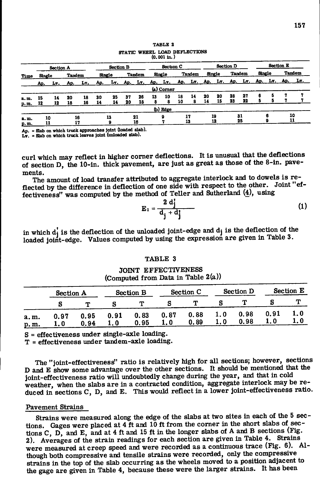|               |        |    |                  |                 |        |    |           |               |    | (0.001 m. <i>)</i>                                                      |           |               |    |                  |               |    |        |   |  |               |  |
|---------------|--------|----|------------------|-----------------|--------|----|-----------|---------------|----|-------------------------------------------------------------------------|-----------|---------------|----|------------------|---------------|----|--------|---|--|---------------|--|
| Section A     |        |    | <b>Section B</b> |                 |        |    | Section C |               |    |                                                                         | Section D |               |    | <b>Section E</b> |               |    |        |   |  |               |  |
| Time          | Single |    | <b>Tandem</b>    |                 | Single |    |           | <b>Tandem</b> |    | Single                                                                  |           | <b>Tandem</b> |    | Single           | <b>Tandem</b> |    | Single |   |  | <b>Tandem</b> |  |
|               |        |    |                  | Ap. Ly. Ap. Ly. |        |    |           |               |    | Ap. Ly. Ap. Ly. Ap. Ly. Ap. Ly. Ap. Ly. Ap. Ly. Ap. Ly. Ap. Ly. Ap. Ly. |           |               |    |                  |               |    |        |   |  |               |  |
|               |        |    |                  |                 |        |    |           |               |    | (a) Corner                                                              |           |               |    |                  |               |    |        |   |  |               |  |
| a. m.         | 15     | 14 | 20               | 18              | 30     | 25 | 37        | 26            | 13 | 10                                                                      | 18        | 14            | 20 | 20               | 28            | 27 |        |   |  |               |  |
| <u>p. m. </u> | 12     | 12 | 18               | 16              | 14     | 14 | 20        | 18            |    |                                                                         | 10        | я             | 14 | 15               | 23            | 22 |        |   |  |               |  |
|               |        |    |                  |                 |        |    |           |               |    | (b) Edge                                                                |           |               |    |                  |               |    |        |   |  |               |  |
| a.m.          |        | 10 |                  | 16              |        | 13 |           | 21            |    | 9                                                                       |           | 17            |    | 19               |               | 31 |        | 6 |  | 10            |  |
| p.m.          | 11     |    |                  | 17              |        |    |           | 16            |    |                                                                         |           | 13            |    | 12               |               | 25 |        |   |  | 11            |  |

TABLE 2 STATIC WHEEL LOAD DEFLECTIONS (0.001 in.)

Ap. = Slab on which truck approaches joint (loaded slab).

Ly. = Slab on which truck leaves joint (unloaded slab).

curl which may reflect in higher comer deflections. It is unusual that the deflections of section D, the 10-in. thick pavement, are just as great as those of the 8-in. pavements.

The amount of load transfer attributed to aggregate interlock and to dowels is reflected by the difference in deflection of one side with respect to the other. Joint "effectiveness" was computed by the method of Teller and Sutherland (4), using

$$
\mathbf{E}_1 = \frac{2 \mathbf{d}_j^2}{\mathbf{d}_j + \mathbf{d}_j^2} \tag{1}
$$

in which  $d_j$  is the deflection of the unloaded joint-edge and  $d_j$  is the deflection of the loaded joint-edge. Values computed by using the expression are given in Table 3.

### TABLE 3

JOINT EFFECTIVENESS (Computed from Data in Table 2(a))

|                | <b>Section A</b> |              |             | <b>Section B</b> |             | Section C    |     | <b>Section D</b> | <b>Section E</b> |            |  |
|----------------|------------------|--------------|-------------|------------------|-------------|--------------|-----|------------------|------------------|------------|--|
|                |                  |              |             |                  |             |              |     |                  |                  |            |  |
| a. m.<br>p. m. | 0.97<br>1.0      | 0.95<br>0.94 | 0.91<br>1.0 | 0.83<br>0.95     | 0.87<br>1.0 | 0.88<br>0.89 | 1.0 | 0.98<br>0.98     | 0.91             | 1.0<br>1.0 |  |

 $S =$  effectiveness under single-axle loading.

T = effectiveness under tandem-axle loading.

The "joint-effectiveness" ratio is relatively high for all sections; however, sections D and E show some advantage over the other sections. It should be mentioned that the joint-effectiveness ratio will undoubtedly change during the year, and that in cold weather, when the slabs are in a contracted condition, aggregate interlock may be reduced in sections C, D, and E. This would reflect in a lower joint-effectiveness ratio.

## Pavement Strains

Strains were measured along the edge of the slabs at two sites in each of the 5 sections. Gages were placed at  $4$  ft and  $10$  ft from the corner in the short slabs of sections C, D, and E, and at 4 ft and 15 ft in the longer slabs of A and B sections (Fig. 2). Averages of the strain readings for each section are given in Table 4. Strains were measured at creep speed and were recorded as a continuous trace (Fig. 6). Although both compressive and tensile strains were recorded, only the compressive strains in the top of the slab occurring as the wheels moved to a position adjacent to the gage are given in Table 4, because these were the larger strains. It has been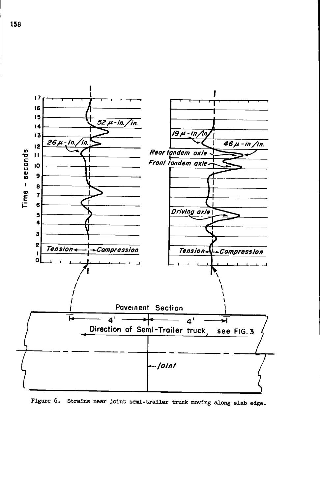![](_page_8_Figure_0.jpeg)

Figure 6. Strains near joint semi-trailer truck moving along slab edge.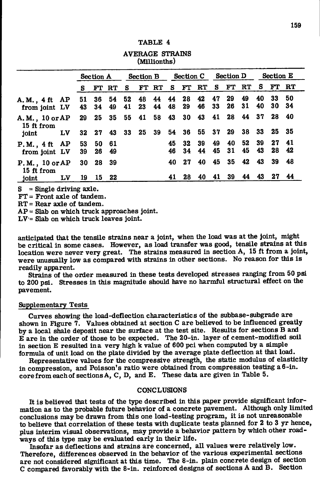| AVERAGE STRAINS<br>(Millionths) |    |           |            |             |                               |            |           |            |          |            |          |          |           |                  |          |          |
|---------------------------------|----|-----------|------------|-------------|-------------------------------|------------|-----------|------------|----------|------------|----------|----------|-----------|------------------|----------|----------|
|                                 |    | Section A |            |             | Section B Section C Section D |            |           |            |          |            |          |          |           | <b>Section E</b> |          |          |
|                                 |    | s         |            | FT RT S     |                               | FT RT S FT |           |            |          | ${\bf RT}$ | S.       | FT.      | RT        |                  | S FT RT  |          |
| A.M., 4 ft AP<br>from joint LV  |    | 51<br>43  | 34         | 36 54<br>49 | 52<br>41                      | 48<br>23   | -44<br>44 | - 44<br>48 | 28<br>29 | 42<br>46   | 47<br>33 | 29<br>26 | 49<br>-31 | 40<br>40         | 33<br>30 | 50<br>34 |
| A.M., 10 or AP<br>15 ft from    |    | 29        |            | 25 35       |                               | 55 41      | 58 43     |            | 30       | 43         | 41       | 28       | 44        | 37               | 28       | - 40     |
| joint                           | LV |           |            | 32 27 43    |                               | 33 25      | - 39      | 54         | 36       | 55 37 29   |          |          | - 38      |                  | 33 25 35 |          |
| P.M., 4 ft AP<br>from joint LV  |    | 53<br>39  | - 50<br>26 | - 61<br>49  |                               |            |           | 45<br>46   | 32<br>34 | 39<br>44   | 49<br>45 | 40<br>31 | 52<br>45  | 39<br>43         | 27<br>28 | 41<br>42 |
| P.M., 10 or AP<br>15 ft from    |    |           | 30 28      | 39          |                               |            |           | 40         | 27       | 40         | 45       | 35       | 42        | 43               | 39       | 48       |
| joint                           | LV | 19        |            | 15 22       |                               |            |           | 41         | 28       | 40         | 41       | 39       | 44        | 43               | 27       | 44       |

TABLE 4

AVERAGE STRAINS

 $S =$  Single driving axle.

FT = Front axle of tandem.

RT = Rear axle of tandem.

 $AP =$  Slab on which truck approaches joint.

LV = Slab on which truck leaves joint.

anticipated that the tensile strains near a joint, when the load was at the joint, might be critical in some cases. However, as load transfer was good, tensile strains at this location were never very great. The strains measured in section A, 15 ft from a joint, were unusually low as compared with strains in other sections. No reason for this is readily apparent.

Strains of the order measured in these tests developed stresses ranging from 50 psi to 200 psi. Stresses in this magnitude should have no harmful structural effect on the pavement.

## Supplementary Tests

Curves showing the load-deflection characteristics of the subbase-subgrade are shown in Figure 7. Values obtained at section C are believed to be influenced greatiy by a local shale deposit near the surface at the test site. Results for sections B and E are in the order of those to be expected. The 20-in. layer of cement-modified soil in section E resulted in a very high k value of 600 pci when computed by a simple formula of unit load on the plate divided by the average plate deflection at that load.

Representative values for the compressive strength, the static modulus of elasticity in compression, and Poisson's ratio were obtained from compression testing a 6-in. core from each of sections A, C, D, and E. These data are given in Table 5.

## **CONCLUSIONS**

It is believed that tests of the type described in this paper provide significant information as to the probable future behavior of a concrete pavement. Although only limited conclusions may be drawn from this one load-testing program, it is not unreasonable to believe that correlation of these tests with duplicate tests planned for 2 to 3 yr hence, plus interim visual observations, may provide a behavior pattern by which other roadways of this type may be evaluated early in their life.

Insofar as deflections and strains are concerned, aU values were relatively low. Therefore, differences observed in the behavior of the various experimental sections are not considered significant at this time. The 8-in. plain concrete design of section C compared favorably with the 8-in. reinforced designs of sections A and B. Section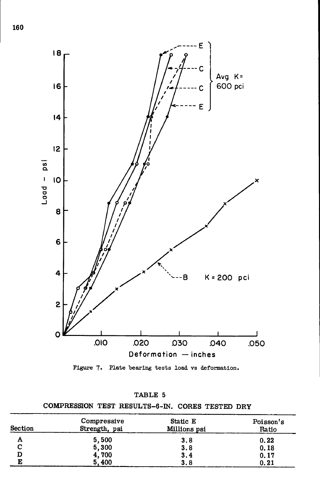![](_page_10_Figure_0.jpeg)

Figure 7. Plate bearing tests load vs deformation.

COMPRESSION TEST RESULTS-6-IN. CORES TESTED DRY

| <b>Section</b> | Compressive<br>Strength, psi | Static E<br>Millions psi | Poisson's<br>Ratio |
|----------------|------------------------------|--------------------------|--------------------|
| А              | 5,500                        | 3.8                      | 0.22               |
| С              | 5,300                        | 3.8                      | 0.18               |
| D              | 4,700                        | 3.4                      | 0.17               |
| E              | 5,400                        | 3.8                      | 0.21               |